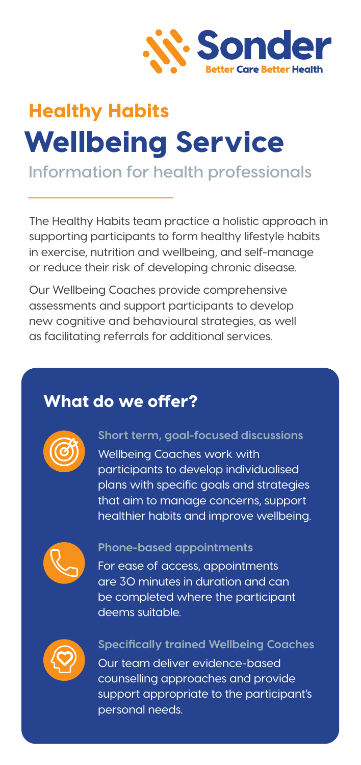

# Healthy Habits Wellbeing Service

### **Information for health professionals**

The Healthy Habits team practice a holistic approach in supporting participants to form healthy lifestyle habits in exercise, nutrition and wellbeing, and self-manage or reduce their risk of developing chronic disease.

Our Wellbeing Coaches provide comprehensive assessments and support participants to develop new cognitive and behavioural strategies, as well as facilitating referrals for additional services.

### What do we offer?



#### **Short term, goal-focused discussions**

Wellbeing Coaches work with participants to develop individualised plans with specific goals and strategies that aim to manage concerns, support healthier habits and improve wellbeing.



#### **Phone-based appointments**

For ease of access, appointments are 30 minutes in duration and can be completed where the participant deems suitable.



#### **Specifically trained Wellbeing Coaches**

Our team deliver evidence-based counselling approaches and provide support appropriate to the participant's personal needs.